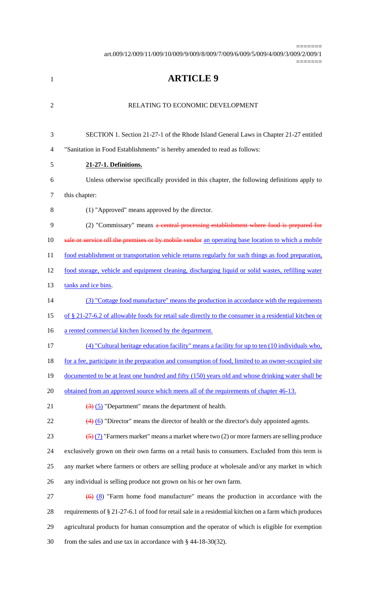art.009/12/009/11/009/10/009/9/009/8/009/7/009/6/009/5/009/4/009/3/009/2/009/1

=======

=======

| $\mathbf{1}$   | <b>ARTICLE 9</b>                                                                                                 |
|----------------|------------------------------------------------------------------------------------------------------------------|
| $\overline{2}$ | RELATING TO ECONOMIC DEVELOPMENT                                                                                 |
| 3              | SECTION 1. Section 21-27-1 of the Rhode Island General Laws in Chapter 21-27 entitled                            |
| $\overline{4}$ | "Sanitation in Food Establishments" is hereby amended to read as follows:                                        |
| 5              | 21-27-1. Definitions.                                                                                            |
| 6              | Unless otherwise specifically provided in this chapter, the following definitions apply to                       |
| 7              | this chapter:                                                                                                    |
| 8              | (1) "Approved" means approved by the director.                                                                   |
| 9              | (2) "Commissary" means a central processing establishment where food is prepared for                             |
| 10             | sale or service off the premises or by mobile vendor an operating base location to which a mobile                |
| 11             | food establishment or transportation vehicle returns regularly for such things as food preparation,              |
| 12             | food storage, vehicle and equipment cleaning, discharging liquid or solid wastes, refilling water                |
| 13             | tanks and ice bins.                                                                                              |
| 14             | (3) "Cottage food manufacture" means the production in accordance with the requirements                          |
| 15             | of § 21-27-6.2 of allowable foods for retail sale directly to the consumer in a residential kitchen or           |
| 16             | a rented commercial kitchen licensed by the department.                                                          |
| 17             | (4) "Cultural heritage education facility" means a facility for up to ten (10 individuals who,                   |
| 18             | for a fee, participate in the preparation and consumption of food, limited to an owner-occupied site             |
| 19             | documented to be at least one hundred and fifty (150) years old and whose drinking water shall be                |
| 20             | <u>obtained from an approved source which meets all of the requirements of chapter 46-13.</u>                    |
| 21             | $\left(\frac{3}{2}\right)$ (5) "Department" means the department of health.                                      |
| 22             | $\left(4\right)$ (6) "Director" means the director of health or the director's duly appointed agents.            |
| 23             | $\left(\frac{5}{2}\right)$ (7) "Farmers market" means a market where two (2) or more farmers are selling produce |
| 24             | exclusively grown on their own farms on a retail basis to consumers. Excluded from this term is                  |
| 25             | any market where farmers or others are selling produce at wholesale and/or any market in which                   |
| 26             | any individual is selling produce not grown on his or her own farm.                                              |
| 27             | $\leftrightarrow$ (8) "Farm home food manufacture" means the production in accordance with the                   |
| 28             | requirements of § 21-27-6.1 of food for retail sale in a residential kitchen on a farm which produces            |
| 29             | agricultural products for human consumption and the operator of which is eligible for exemption                  |
| 30             | from the sales and use tax in accordance with $\S$ 44-18-30(32).                                                 |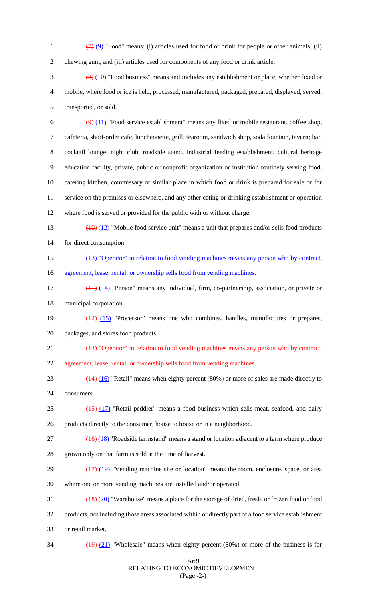1  $\left(7\right)\left(9\right)$  "Food" means: (i) articles used for food or drink for people or other animals, (ii) chewing gum, and (iii) articles used for components of any food or drink article.  $\frac{(8)(10)}{80}$  "Food business" means and includes any establishment or place, whether fixed or

 mobile, where food or ice is held, processed, manufactured, packaged, prepared, displayed, served, transported, or sold.

 $\left(\frac{9}{11}\right)$  "Food service establishment" means any fixed or mobile restaurant, coffee shop, cafeteria, short-order cafe, luncheonette, grill, tearoom, sandwich shop, soda fountain, tavern; bar, cocktail lounge, night club, roadside stand, industrial feeding establishment, cultural heritage education facility, private, public or nonprofit organization or institution routinely serving food, catering kitchen, commissary or similar place in which food or drink is prepared for sale or for service on the premises or elsewhere, and any other eating or drinking establishment or operation where food is served or provided for the public with or without charge.

 (10) (12) "Mobile food service unit" means a unit that prepares and/or sells food products for direct consumption.

- (13) "Operator" in relation to food vending machines means any person who by contract, 16 agreement, lease, rental, or ownership sells food from vending machines.
- (11) (14) "Person" means any individual, firm, co-partnership, association, or private or municipal corporation.
- (12) (15) "Processor" means one who combines, handles, manufactures or prepares, packages, and stores food products.
- (13) "Operator" in relation to food vending machines means any person who by contract, agreement, lease, rental, or ownership sells food from vending machines.
- 23 (14) (16) "Retail" means when eighty percent (80%) or more of sales are made directly to consumers.
- 25 (15) (17) "Retail peddler" means a food business which sells meat, seafood, and dairy products directly to the consumer, house to house or in a neighborhood.
- $\left(16\right)$  (18) "Roadside farmstand" means a stand or location adjacent to a farm where produce grown only on that farm is sold at the time of harvest.
- 29 (17) (19) "Vending machine site or location" means the room, enclosure, space, or area where one or more vending machines are installed and/or operated.
- $\frac{(18)(20)}{18}$  "Warehouse" means a place for the storage of dried, fresh, or frozen food or food products, not including those areas associated within or directly part of a food service establishment
- or retail market.
- 

 $\frac{(19)(21)}{(19)(21)}$  "Wholesale" means when eighty percent (80%) or more of the business is for

#### Art9 RELATING TO ECONOMIC DEVELOPMENT (Page -2-)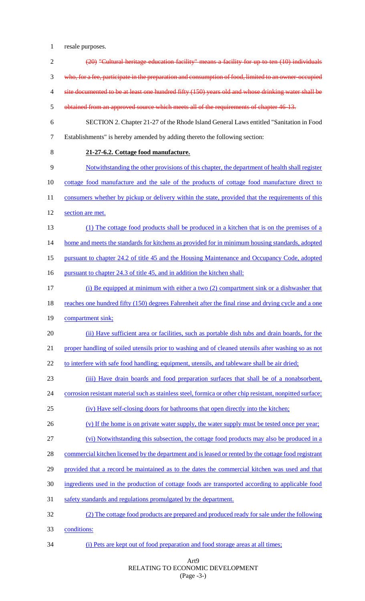1 resale purposes.

| $\overline{2}$ | (20) "Cultural heritage education facility" means a facility for up to ten (10) individuals               |
|----------------|-----------------------------------------------------------------------------------------------------------|
| 3              | who, for a fee, participate in the preparation and consumption of food, limited to an owner-occupied      |
| 4              | site documented to be at least one hundred fifty (150) years old and whose drinking water shall be        |
| 5              | obtained from an approved source which meets all of the requirements of chapter 46-13.                    |
| 6              | SECTION 2. Chapter 21-27 of the Rhode Island General Laws entitled "Sanitation in Food                    |
| $\tau$         | Establishments" is hereby amended by adding thereto the following section:                                |
| 8              | 21-27-6.2. Cottage food manufacture.                                                                      |
| 9              | Notwithstanding the other provisions of this chapter, the department of health shall register             |
| 10             | cottage food manufacture and the sale of the products of cottage food manufacture direct to               |
| 11             | consumers whether by pickup or delivery within the state, provided that the requirements of this          |
| 12             | section are met.                                                                                          |
| 13             | (1) The cottage food products shall be produced in a kitchen that is on the premises of a                 |
| 14             | home and meets the standards for kitchens as provided for in minimum housing standards, adopted           |
| 15             | pursuant to chapter 24.2 of title 45 and the Housing Maintenance and Occupancy Code, adopted              |
| 16             | pursuant to chapter 24.3 of title 45, and in addition the kitchen shall:                                  |
| 17             | (i) Be equipped at minimum with either a two (2) compartment sink or a dishwasher that                    |
| 18             | reaches one hundred fifty (150) degrees Fahrenheit after the final rinse and drying cycle and a one       |
| 19             | compartment sink;                                                                                         |
| 20             | (ii) Have sufficient area or facilities, such as portable dish tubs and drain boards, for the             |
| 21             | proper handling of soiled utensils prior to washing and of cleaned utensils after washing so as not       |
| 22             | to interfere with safe food handling; equipment, utensils, and tableware shall be air dried;              |
| 23             | (iii) Have drain boards and food preparation surfaces that shall be of a nonabsorbent,                    |
| 24             | corrosion resistant material such as stainless steel, formica or other chip resistant, nonpitted surface; |
| 25             | (iv) Have self-closing doors for bathrooms that open directly into the kitchen;                           |
| 26             | (v) If the home is on private water supply, the water supply must be tested once per year;                |
| 27             | (vi) Notwithstanding this subsection, the cottage food products may also be produced in a                 |
| 28             | commercial kitchen licensed by the department and is leased or rented by the cottage food registrant      |
| 29             | provided that a record be maintained as to the dates the commercial kitchen was used and that             |
| 30             | ingredients used in the production of cottage foods are transported according to applicable food          |
| 31             | safety standards and regulations promulgated by the department.                                           |
| 32             | (2) The cottage food products are prepared and produced ready for sale under the following                |
| 33             | conditions:                                                                                               |
| 34             | (i) Pets are kept out of food preparation and food storage areas at all times;                            |

# Art9 RELATING TO ECONOMIC DEVELOPMENT (Page -3-)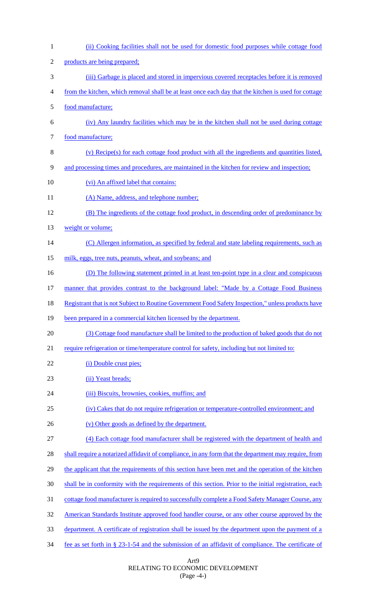| $\mathbf{1}$   | (ii) Cooking facilities shall not be used for domestic food purposes while cottage food                   |
|----------------|-----------------------------------------------------------------------------------------------------------|
| $\overline{2}$ | products are being prepared;                                                                              |
| 3              | (iii) Garbage is placed and stored in impervious covered receptacles before it is removed                 |
| 4              | from the kitchen, which removal shall be at least once each day that the kitchen is used for cottage      |
| 5              | food manufacture;                                                                                         |
| 6              | (iv) Any laundry facilities which may be in the kitchen shall not be used during cottage                  |
| 7              | food manufacture;                                                                                         |
| 8              | (v) Recipe(s) for each cottage food product with all the ingredients and quantities listed,               |
| 9              | and processing times and procedures, are maintained in the kitchen for review and inspection;             |
| 10             | (vi) An affixed label that contains:                                                                      |
| 11             | (A) Name, address, and telephone number;                                                                  |
| 12             | (B) The ingredients of the cottage food product, in descending order of predominance by                   |
| 13             | weight or volume;                                                                                         |
| 14             | (C) Allergen information, as specified by federal and state labeling requirements, such as                |
| 15             | milk, eggs, tree nuts, peanuts, wheat, and soybeans; and                                                  |
| 16             | (D) The following statement printed in at least ten-point type in a clear and conspicuous                 |
| 17             | manner that provides contrast to the background label: "Made by a Cottage Food Business"                  |
| 18             | <u>Registrant that is not Subject to Routine Government Food Safety Inspection," unless products have</u> |
| 19             | been prepared in a commercial kitchen licensed by the department.                                         |
| 20             | (3) Cottage food manufacture shall be limited to the production of baked goods that do not                |
| 21             | require refrigeration or time/temperature control for safety, including but not limited to:               |
| 22             | (i) Double crust pies;                                                                                    |
| 23             | (ii) Yeast breads;                                                                                        |
| 24             | (iii) Biscuits, brownies, cookies, muffins; and                                                           |
| 25             | (iv) Cakes that do not require refrigeration or temperature-controlled environment; and                   |
| 26             | (v) Other goods as defined by the department.                                                             |
| 27             | (4) Each cottage food manufacturer shall be registered with the department of health and                  |
| 28             | shall require a notarized affidavit of compliance, in any form that the department may require, from      |
| 29             | the applicant that the requirements of this section have been met and the operation of the kitchen        |
| 30             | shall be in conformity with the requirements of this section. Prior to the initial registration, each     |
| 31             | cottage food manufacturer is required to successfully complete a Food Safety Manager Course, any          |
| 32             | American Standards Institute approved food handler course, or any other course approved by the            |
| 33             | <u>department. A certificate of registration shall be issued by the department upon the payment of a</u>  |
| 34             | fee as set forth in $\S 23-1-54$ and the submission of an affidavit of compliance. The certificate of     |

#### Art9 RELATING TO ECONOMIC DEVELOPMENT (Page -4-)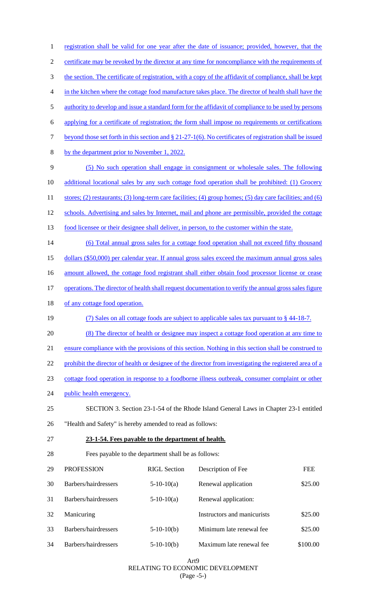| $\mathbf{1}$   |                                                                                                         |                     | registration shall be valid for one year after the date of issuance; provided, however, that the             |            |  |  |
|----------------|---------------------------------------------------------------------------------------------------------|---------------------|--------------------------------------------------------------------------------------------------------------|------------|--|--|
| $\overline{c}$ | certificate may be revoked by the director at any time for noncompliance with the requirements of       |                     |                                                                                                              |            |  |  |
| 3              | the section. The certificate of registration, with a copy of the affidavit of compliance, shall be kept |                     |                                                                                                              |            |  |  |
| 4              |                                                                                                         |                     | in the kitchen where the cottage food manufacture takes place. The director of health shall have the         |            |  |  |
| 5              |                                                                                                         |                     | authority to develop and issue a standard form for the affidavit of compliance to be used by persons         |            |  |  |
| 6              |                                                                                                         |                     | applying for a certificate of registration; the form shall impose no requirements or certifications          |            |  |  |
| 7              |                                                                                                         |                     | beyond those set forth in this section and $\S 21-27-1(6)$ . No certificates of registration shall be issued |            |  |  |
| 8              | by the department prior to November 1, 2022.                                                            |                     |                                                                                                              |            |  |  |
| 9              |                                                                                                         |                     | (5) No such operation shall engage in consignment or wholesale sales. The following                          |            |  |  |
| 10             |                                                                                                         |                     | additional locational sales by any such cottage food operation shall be prohibited: (1) Grocery              |            |  |  |
| 11             |                                                                                                         |                     | stores; (2) restaurants; (3) long-term care facilities; (4) group homes; (5) day care facilities; and (6)    |            |  |  |
| 12             |                                                                                                         |                     | schools. Advertising and sales by Internet, mail and phone are permissible, provided the cottage             |            |  |  |
| 13             |                                                                                                         |                     | food licensee or their designee shall deliver, in person, to the customer within the state.                  |            |  |  |
| 14             |                                                                                                         |                     | (6) Total annual gross sales for a cottage food operation shall not exceed fifty thousand                    |            |  |  |
| 15             |                                                                                                         |                     | dollars (\$50,000) per calendar year. If annual gross sales exceed the maximum annual gross sales            |            |  |  |
| 16             |                                                                                                         |                     | amount allowed, the cottage food registrant shall either obtain food processor license or cease              |            |  |  |
| 17             |                                                                                                         |                     | operations. The director of health shall request documentation to verify the annual gross sales figure       |            |  |  |
| 18             | of any cottage food operation.                                                                          |                     |                                                                                                              |            |  |  |
| 19             |                                                                                                         |                     | (7) Sales on all cottage foods are subject to applicable sales tax pursuant to $\S$ 44-18-7.                 |            |  |  |
| 20             | (8) The director of health or designee may inspect a cottage food operation at any time to              |                     |                                                                                                              |            |  |  |
| 21             |                                                                                                         |                     | ensure compliance with the provisions of this section. Nothing in this section shall be construed to         |            |  |  |
| 22             |                                                                                                         |                     | prohibit the director of health or designee of the director from investigating the registered area of a      |            |  |  |
| 23             |                                                                                                         |                     | cottage food operation in response to a foodborne illness outbreak, consumer complaint or other              |            |  |  |
| 24             | public health emergency.                                                                                |                     |                                                                                                              |            |  |  |
| 25             |                                                                                                         |                     | SECTION 3. Section 23-1-54 of the Rhode Island General Laws in Chapter 23-1 entitled                         |            |  |  |
| 26             | "Health and Safety" is hereby amended to read as follows:                                               |                     |                                                                                                              |            |  |  |
| 27             | 23-1-54. Fees payable to the department of health.                                                      |                     |                                                                                                              |            |  |  |
| 28             | Fees payable to the department shall be as follows:                                                     |                     |                                                                                                              |            |  |  |
| 29             | <b>PROFESSION</b>                                                                                       | <b>RIGL</b> Section | Description of Fee                                                                                           | <b>FEE</b> |  |  |
| 30             | Barbers/hairdressers                                                                                    | $5-10-10(a)$        | Renewal application                                                                                          | \$25.00    |  |  |
| 31             | Barbers/hairdressers                                                                                    | $5-10-10(a)$        | Renewal application:                                                                                         |            |  |  |
| 32             | Manicuring                                                                                              |                     | Instructors and manicurists                                                                                  | \$25.00    |  |  |
| 33             | Barbers/hairdressers                                                                                    | $5-10-10(b)$        | Minimum late renewal fee                                                                                     | \$25.00    |  |  |
| 34             | Barbers/hairdressers                                                                                    | $5-10-10(b)$        | Maximum late renewal fee                                                                                     | \$100.00   |  |  |

#### Art9 RELATING TO ECONOMIC DEVELOPMENT (Page -5-)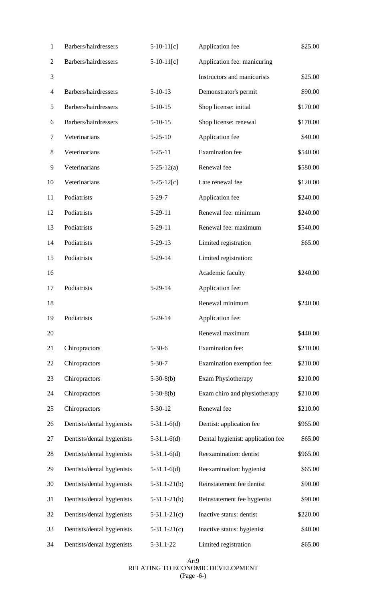| $\mathbf{1}$   | Barbers/hairdressers       | $5-10-11[c]$     | Application fee                   | \$25.00  |
|----------------|----------------------------|------------------|-----------------------------------|----------|
| $\overline{c}$ | Barbers/hairdressers       | $5-10-11[c]$     | Application fee: manicuring       |          |
| 3              |                            |                  | Instructors and manicurists       | \$25.00  |
| 4              | Barbers/hairdressers       | $5-10-13$        | Demonstrator's permit             | \$90.00  |
| 5              | Barbers/hairdressers       | $5-10-15$        | Shop license: initial             | \$170.00 |
| 6              | Barbers/hairdressers       | $5-10-15$        | Shop license: renewal             | \$170.00 |
| 7              | Veterinarians              | $5 - 25 - 10$    | Application fee                   | \$40.00  |
| $8\,$          | Veterinarians              | $5 - 25 - 11$    | <b>Examination</b> fee            | \$540.00 |
| 9              | Veterinarians              | $5 - 25 - 12(a)$ | Renewal fee                       | \$580.00 |
| 10             | Veterinarians              | $5 - 25 - 12[c]$ | Late renewal fee                  | \$120.00 |
| 11             | Podiatrists                | $5-29-7$         | Application fee                   | \$240.00 |
| 12             | Podiatrists                | $5-29-11$        | Renewal fee: minimum              | \$240.00 |
| 13             | Podiatrists                | $5-29-11$        | Renewal fee: maximum              | \$540.00 |
| 14             | Podiatrists                | $5 - 29 - 13$    | Limited registration              | \$65.00  |
| 15             | Podiatrists                | 5-29-14          | Limited registration:             |          |
| 16             |                            |                  | Academic faculty                  | \$240.00 |
| 17             | Podiatrists                | 5-29-14          | Application fee:                  |          |
| 18             |                            |                  | Renewal minimum                   | \$240.00 |
| 19             | Podiatrists                | $5-29-14$        | Application fee:                  |          |
| 20             |                            |                  | Renewal maximum                   | \$440.00 |
| 21             | Chiropractors              | $5 - 30 - 6$     | Examination fee:                  | \$210.00 |
| 22             | Chiropractors              | $5 - 30 - 7$     | Examination exemption fee:        | \$210.00 |
| 23             | Chiropractors              | $5-30-8(b)$      | <b>Exam Physiotherapy</b>         | \$210.00 |
| 24             | Chiropractors              | $5-30-8(b)$      | Exam chiro and physiotherapy      | \$210.00 |
| 25             | Chiropractors              | $5 - 30 - 12$    | Renewal fee                       | \$210.00 |
| 26             | Dentists/dental hygienists | $5-31.1-6(d)$    | Dentist: application fee          | \$965.00 |
| 27             | Dentists/dental hygienists | $5-31.1-6(d)$    | Dental hygienist: application fee | \$65.00  |
| 28             | Dentists/dental hygienists | $5-31.1-6(d)$    | Reexamination: dentist            | \$965.00 |
| 29             | Dentists/dental hygienists | $5-31.1-6(d)$    | Reexamination: hygienist          | \$65.00  |
| 30             | Dentists/dental hygienists | $5-31.1-21(b)$   | Reinstatement fee dentist         | \$90.00  |
| 31             | Dentists/dental hygienists | $5-31.1-21(b)$   | Reinstatement fee hygienist       | \$90.00  |
| 32             | Dentists/dental hygienists | $5-31.1-21(c)$   | Inactive status: dentist          | \$220.00 |
| 33             | Dentists/dental hygienists | $5-31.1-21(c)$   | Inactive status: hygienist        | \$40.00  |
| 34             | Dentists/dental hygienists | 5-31.1-22        | Limited registration              | \$65.00  |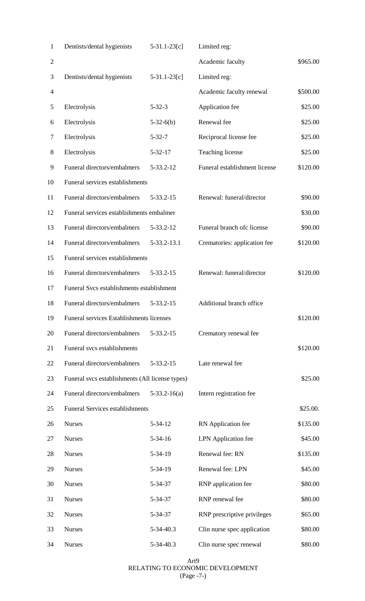| 1              | Dentists/dental hygienists                      | $5-31.1-23[c]$ | Limited reg:                  |          |
|----------------|-------------------------------------------------|----------------|-------------------------------|----------|
| $\overline{c}$ |                                                 |                | Academic faculty              | \$965.00 |
| 3              | Dentists/dental hygienists                      | $5-31.1-23[c]$ | Limited reg:                  |          |
| 4              |                                                 |                | Academic faculty renewal      | \$500.00 |
| 5              | Electrolysis                                    | $5 - 32 - 3$   | Application fee               | \$25.00  |
| 6              | Electrolysis                                    | $5-32-6(b)$    | Renewal fee                   | \$25.00  |
| 7              | Electrolysis                                    | $5 - 32 - 7$   | Reciprocal license fee        | \$25.00  |
| 8              | Electrolysis                                    | $5 - 32 - 17$  | Teaching license              | \$25.00  |
| 9              | Funeral directors/embalmers                     | 5-33.2-12      | Funeral establishment license | \$120.00 |
| 10             | Funeral services establishments                 |                |                               |          |
| 11             | Funeral directors/embalmers                     | 5-33.2-15      | Renewal: funeral/director     | \$90.00  |
| 12             | Funeral services establishments embalmer        |                |                               | \$30.00  |
| 13             | Funeral directors/embalmers                     | 5-33.2-12      | Funeral branch of clicense    | \$90.00  |
| 14             | Funeral directors/embalmers                     | 5-33.2-13.1    | Crematories: application fee  | \$120.00 |
| 15             | Funeral services establishments                 |                |                               |          |
| 16             | Funeral directors/embalmers                     | 5-33.2-15      | Renewal: funeral/director     | \$120.00 |
| 17             | Funeral Svcs establishments establishment       |                |                               |          |
| 18             | Funeral directors/embalmers                     | 5-33.2-15      | Additional branch office      |          |
| 19             | Funeral services Establishments licenses        |                |                               | \$120.00 |
| 20             | Funeral directors/embalmers                     | 5-33.2-15      | Crematory renewal fee         |          |
| 21             | Funeral svcs establishments                     |                |                               | \$120.00 |
| 22             | Funeral directors/embalmers                     | 5-33.2-15      | Late renewal fee              |          |
| 23             | Funeral svcs establishments (All license types) |                |                               | \$25.00  |
| 24             | Funeral directors/embalmers                     | $5-33.2-16(a)$ | Intern registration fee       |          |
| 25             | <b>Funeral Services establishments</b>          |                |                               | \$25.00. |
| 26             | <b>Nurses</b>                                   | $5 - 34 - 12$  | RN Application fee            | \$135.00 |
| 27             | <b>Nurses</b>                                   | $5 - 34 - 16$  | LPN Application fee           | \$45.00  |
| 28             | <b>Nurses</b>                                   | 5-34-19        | Renewal fee: RN               | \$135.00 |
| 29             | <b>Nurses</b>                                   | 5-34-19        | Renewal fee: LPN              | \$45.00  |
| 30             | <b>Nurses</b>                                   | 5-34-37        | RNP application fee           | \$80.00  |
| 31             | <b>Nurses</b>                                   | 5-34-37        | RNP renewal fee               | \$80.00  |
| 32             | <b>Nurses</b>                                   | 5-34-37        | RNP prescriptive privileges   | \$65.00  |
| 33             | <b>Nurses</b>                                   | 5-34-40.3      | Clin nurse spec application   | \$80.00  |
| 34             | <b>Nurses</b>                                   | 5-34-40.3      | Clin nurse spec renewal       | \$80.00  |

Art9 RELATING TO ECONOMIC DEVELOPMENT (Page -7-)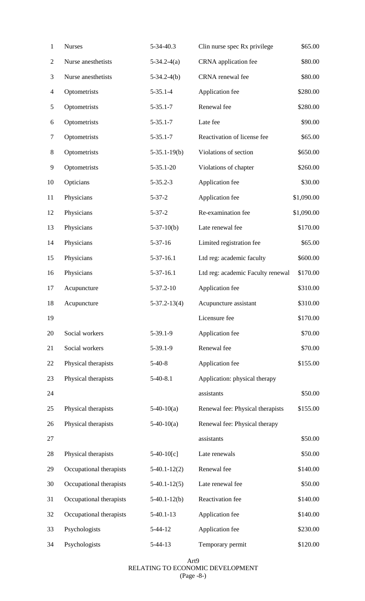| $\mathbf{1}$             | <b>Nurses</b>           | 5-34-40.3          | Clin nurse spec Rx privilege      | \$65.00    |
|--------------------------|-------------------------|--------------------|-----------------------------------|------------|
| $\overline{c}$           | Nurse anesthetists      | $5-34.2-4(a)$      | CRNA application fee              | \$80.00    |
| 3                        | Nurse anesthetists      | $5-34.2-4(b)$      | CRNA renewal fee                  | \$80.00    |
| $\overline{\mathcal{A}}$ | Optometrists            | $5 - 35.1 - 4$     | Application fee                   | \$280.00   |
| 5                        | Optometrists            | $5 - 35.1 - 7$     | Renewal fee                       | \$280.00   |
| 6                        | Optometrists            | $5 - 35.1 - 7$     | Late fee                          | \$90.00    |
| $\boldsymbol{7}$         | Optometrists            | $5 - 35.1 - 7$     | Reactivation of license fee       | \$65.00    |
| $8\,$                    | Optometrists            | $5-35.1-19(b)$     | Violations of section             | \$650.00   |
| 9                        | Optometrists            | $5 - 35.1 - 20$    | Violations of chapter             | \$260.00   |
| 10                       | Opticians               | $5 - 35.2 - 3$     | Application fee                   | \$30.00    |
| 11                       | Physicians              | $5 - 37 - 2$       | Application fee                   | \$1,090.00 |
| 12                       | Physicians              | $5 - 37 - 2$       | Re-examination fee                | \$1,090.00 |
| 13                       | Physicians              | $5-37-10(b)$       | Late renewal fee                  | \$170.00   |
| 14                       | Physicians              | $5 - 37 - 16$      | Limited registration fee          | \$65.00    |
| 15                       | Physicians              | $5-37-16.1$        | Ltd reg: academic faculty         | \$600.00   |
| 16                       | Physicians              | 5-37-16.1          | Ltd reg: academic Faculty renewal | \$170.00   |
| 17                       | Acupuncture             | 5-37.2-10          | Application fee                   | \$310.00   |
| 18                       | Acupuncture             | $5 - 37.2 - 13(4)$ | Acupuncture assistant             | \$310.00   |
| 19                       |                         |                    | Licensure fee                     | \$170.00   |
| 20                       | Social workers          | $5-39.1-9$         | Application fee                   | \$70.00    |
| 21                       | Social workers          | $5-39.1-9$         | Renewal fee                       | \$70.00    |
| 22                       | Physical therapists     | $5-40-8$           | Application fee                   | \$155.00   |
| 23                       | Physical therapists     | $5-40-8.1$         | Application: physical therapy     |            |
| 24                       |                         |                    | assistants                        | \$50.00    |
| 25                       | Physical therapists     | $5-40-10(a)$       | Renewal fee: Physical therapists  | \$155.00   |
| 26                       | Physical therapists     | $5-40-10(a)$       | Renewal fee: Physical therapy     |            |
| 27                       |                         |                    | assistants                        | \$50.00    |
| 28                       | Physical therapists     | $5-40-10[c]$       | Late renewals                     | \$50.00    |
| 29                       | Occupational therapists | $5-40.1-12(2)$     | Renewal fee                       | \$140.00   |
| 30                       | Occupational therapists | $5-40.1-12(5)$     | Late renewal fee                  | \$50.00    |
| 31                       | Occupational therapists | $5-40.1-12(b)$     | Reactivation fee                  | \$140.00   |
| 32                       | Occupational therapists | $5-40.1-13$        | Application fee                   | \$140.00   |
| 33                       | Psychologists           | $5-44-12$          | Application fee                   | \$230.00   |
| 34                       | Psychologists           | $5-44-13$          | Temporary permit                  | \$120.00   |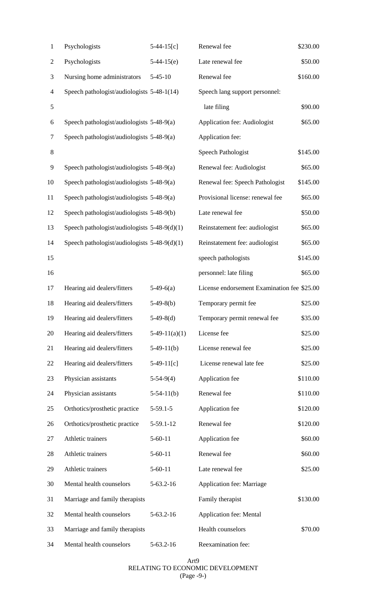| 1              | Psychologists                                  | $5-44-15[c]$    | Renewal fee                                 | \$230.00 |
|----------------|------------------------------------------------|-----------------|---------------------------------------------|----------|
| $\overline{c}$ | Psychologists                                  | $5-44-15(e)$    | Late renewal fee                            | \$50.00  |
| 3              | Nursing home administrators                    | $5 - 45 - 10$   | Renewal fee                                 | \$160.00 |
| 4              | Speech pathologist/audiologists 5-48-1(14)     |                 | Speech lang support personnel:              |          |
| 5              |                                                |                 | late filing                                 | \$90.00  |
| 6              | Speech pathologist/audiologists 5-48-9(a)      |                 | Application fee: Audiologist                | \$65.00  |
| $\tau$         | Speech pathologist/audiologists 5-48-9(a)      |                 | Application fee:                            |          |
| $8\,$          |                                                |                 | Speech Pathologist                          | \$145.00 |
| 9              | Speech pathologist/audiologists 5-48-9(a)      |                 | Renewal fee: Audiologist                    | \$65.00  |
| 10             | Speech pathologist/audiologists 5-48-9(a)      |                 | Renewal fee: Speech Pathologist             | \$145.00 |
| 11             | Speech pathologist/audiologists 5-48-9(a)      |                 | Provisional license: renewal fee            | \$65.00  |
| 12             | Speech pathologist/audiologists 5-48-9(b)      |                 | Late renewal fee                            | \$50.00  |
| 13             | Speech pathologist/audiologists $5-48-9(d)(1)$ |                 | Reinstatement fee: audiologist              | \$65.00  |
| 14             | Speech pathologist/audiologists 5-48-9(d)(1)   |                 | Reinstatement fee: audiologist              | \$65.00  |
| 15             |                                                |                 | speech pathologists                         | \$145.00 |
| 16             |                                                |                 | personnel: late filing                      | \$65.00  |
| 17             | Hearing aid dealers/fitters                    | $5-49-6(a)$     | License endorsement Examination fee \$25.00 |          |
| 18             | Hearing aid dealers/fitters                    | $5-49-8(b)$     | Temporary permit fee                        | \$25.00  |
| 19             | Hearing aid dealers/fitters                    | $5-49-8(d)$     | Temporary permit renewal fee                | \$35.00  |
| 20             | Hearing aid dealers/fitters                    | $5-49-11(a)(1)$ | License fee                                 | \$25.00  |
| 21             | Hearing aid dealers/fitters                    | $5-49-11(b)$    | License renewal fee                         | \$25.00  |
| 22             | Hearing aid dealers/fitters                    | $5-49-11[c]$    | License renewal late fee                    | \$25.00  |
| 23             | Physician assistants                           | $5-54-9(4)$     | Application fee                             | \$110.00 |
| 24             | Physician assistants                           | $5-54-11(b)$    | Renewal fee                                 | \$110.00 |
| 25             | Orthotics/prosthetic practice                  | $5-59.1-5$      | Application fee                             | \$120.00 |
| 26             | Orthotics/prosthetic practice                  | 5-59.1-12       | Renewal fee                                 | \$120.00 |
| 27             | Athletic trainers                              | $5 - 60 - 11$   | Application fee                             | \$60.00  |
| 28             | Athletic trainers                              | $5 - 60 - 11$   | Renewal fee                                 | \$60.00  |
| 29             | Athletic trainers                              | $5 - 60 - 11$   | Late renewal fee                            | \$25.00  |
| 30             | Mental health counselors                       | $5-63.2-16$     | Application fee: Marriage                   |          |
| 31             | Marriage and family therapists                 |                 | Family therapist                            | \$130.00 |
| 32             | Mental health counselors                       | $5-63.2-16$     | <b>Application fee: Mental</b>              |          |
| 33             | Marriage and family therapists                 |                 | Health counselors                           | \$70.00  |
| 34             | Mental health counselors                       | $5-63.2-16$     | Reexamination fee:                          |          |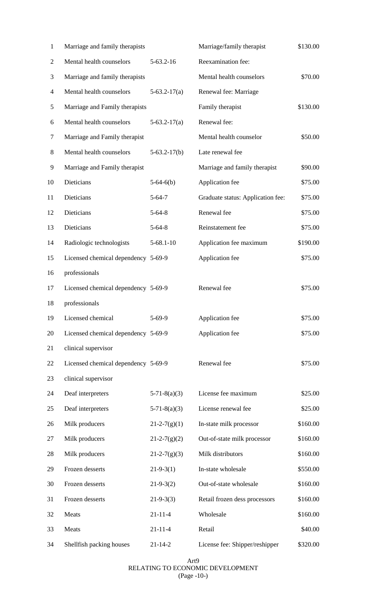| $\mathbf{1}$   | Marriage and family therapists      |                    | Marriage/family therapist         | \$130.00 |
|----------------|-------------------------------------|--------------------|-----------------------------------|----------|
| $\overline{2}$ | Mental health counselors            | $5-63.2-16$        | Reexamination fee:                |          |
| 3              | Marriage and family therapists      |                    | Mental health counselors          | \$70.00  |
| $\overline{4}$ | Mental health counselors            | $5-63.2-17(a)$     | Renewal fee: Marriage             |          |
| 5              | Marriage and Family therapists      |                    | Family therapist                  | \$130.00 |
| 6              | Mental health counselors            | $5-63.2-17(a)$     | Renewal fee:                      |          |
| 7              | Marriage and Family therapist       |                    | Mental health counselor           | \$50.00  |
| 8              | Mental health counselors            | $5-63.2-17(b)$     | Late renewal fee                  |          |
| 9              | Marriage and Family therapist       |                    | Marriage and family therapist     | \$90.00  |
| 10             | Dieticians                          | $5-64-6(b)$        | Application fee                   | \$75.00  |
| 11             | Dieticians                          | $5 - 64 - 7$       | Graduate status: Application fee: | \$75.00  |
| 12             | Dieticians                          | $5 - 64 - 8$       | Renewal fee                       | \$75.00  |
| 13             | Dieticians                          | $5 - 64 - 8$       | Reinstatement fee                 | \$75.00  |
| 14             | Radiologic technologists            | $5 - 68.1 - 10$    | Application fee maximum           | \$190.00 |
| 15             | Licensed chemical dependency 5-69-9 |                    | Application fee                   | \$75.00  |
| 16             | professionals                       |                    |                                   |          |
| 17             | Licensed chemical dependency 5-69-9 |                    | Renewal fee                       | \$75.00  |
| 18             | professionals                       |                    |                                   |          |
| 19             | Licensed chemical                   | $5-69-9$           | Application fee                   | \$75.00  |
| 20             | Licensed chemical dependency 5-69-9 |                    | Application fee                   | \$75.00  |
| 21             | clinical supervisor                 |                    |                                   |          |
| 22             | Licensed chemical dependency 5-69-9 |                    | Renewal fee                       | \$75.00  |
| 23             | clinical supervisor                 |                    |                                   |          |
| 24             | Deaf interpreters                   | $5-71-8(a)(3)$     | License fee maximum               | \$25.00  |
| 25             | Deaf interpreters                   | $5-71-8(a)(3)$     | License renewal fee               | \$25.00  |
| 26             | Milk producers                      | $21 - 2 - 7(g)(1)$ | In-state milk processor           | \$160.00 |
| 27             | Milk producers                      | $21 - 2 - 7(g)(2)$ | Out-of-state milk processor       | \$160.00 |
| 28             | Milk producers                      | $21 - 2 - 7(g)(3)$ | Milk distributors                 | \$160.00 |
| 29             | Frozen desserts                     | $21-9-3(1)$        | In-state wholesale                | \$550.00 |
| 30             | Frozen desserts                     | $21-9-3(2)$        | Out-of-state wholesale            | \$160.00 |
| 31             | Frozen desserts                     | $21-9-3(3)$        | Retail frozen dess processors     | \$160.00 |
| 32             | Meats                               | $21 - 11 - 4$      | Wholesale                         | \$160.00 |
| 33             | Meats                               | $21 - 11 - 4$      | Retail                            | \$40.00  |
| 34             | Shellfish packing houses            | $21 - 14 - 2$      | License fee: Shipper/reshipper    | \$320.00 |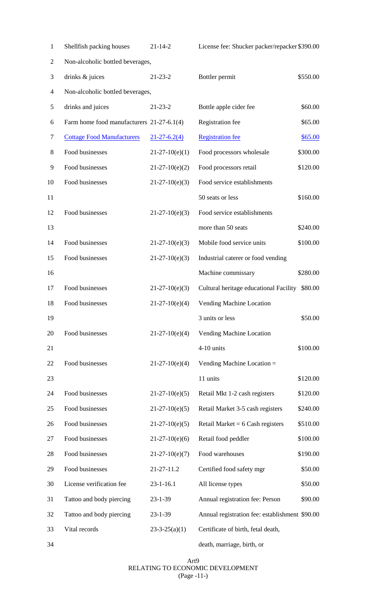| $\mathbf{1}$   | Shellfish packing houses                  | $21 - 14 - 2$      | License fee: Shucker packer/repacker \$390.00  |          |
|----------------|-------------------------------------------|--------------------|------------------------------------------------|----------|
| $\overline{2}$ | Non-alcoholic bottled beverages,          |                    |                                                |          |
| 3              | drinks & juices                           | $21 - 23 - 2$      | Bottler permit                                 | \$550.00 |
| 4              | Non-alcoholic bottled beverages,          |                    |                                                |          |
| 5              | drinks and juices                         | $21 - 23 - 2$      | Bottle apple cider fee                         | \$60.00  |
| 6              | Farm home food manufacturers 21-27-6.1(4) |                    | Registration fee                               | \$65.00  |
| 7              | <b>Cottage Food Manufacturers</b>         | $21 - 27 - 6.2(4)$ | <b>Registration</b> fee                        | \$65.00  |
| 8              | Food businesses                           | $21-27-10(e)(1)$   | Food processors wholesale                      | \$300.00 |
| 9              | Food businesses                           | $21-27-10(e)(2)$   | Food processors retail                         | \$120.00 |
| 10             | Food businesses                           | $21-27-10(e)(3)$   | Food service establishments                    |          |
| 11             |                                           |                    | 50 seats or less                               | \$160.00 |
| 12             | Food businesses                           | $21-27-10(e)(3)$   | Food service establishments                    |          |
| 13             |                                           |                    | more than 50 seats                             | \$240.00 |
| 14             | Food businesses                           | $21-27-10(e)(3)$   | Mobile food service units                      | \$100.00 |
| 15             | Food businesses                           | $21-27-10(e)(3)$   | Industrial caterer or food vending             |          |
| 16             |                                           |                    | Machine commissary                             | \$280.00 |
| 17             | Food businesses                           | $21-27-10(e)(3)$   | Cultural heritage educational Facility \$80.00 |          |
| 18             | Food businesses                           | $21-27-10(e)(4)$   | Vending Machine Location                       |          |
| 19             |                                           |                    | 3 units or less                                | \$50.00  |
| 20             | Food businesses                           | $21-27-10(e)(4)$   | Vending Machine Location                       |          |
| 21             |                                           |                    | 4-10 units                                     | \$100.00 |
| 22             | Food businesses                           | $21-27-10(e)(4)$   | Vending Machine Location =                     |          |
| 23             |                                           |                    | 11 units                                       | \$120.00 |
| 24             | Food businesses                           | $21-27-10(e)(5)$   | Retail Mkt 1-2 cash registers                  | \$120.00 |
| 25             | Food businesses                           | $21-27-10(e)(5)$   | Retail Market 3-5 cash registers               | \$240.00 |
| 26             | Food businesses                           | $21-27-10(e)(5)$   | Retail Market = $6$ Cash registers             | \$510.00 |
| 27             | Food businesses                           | $21-27-10(e)(6)$   | Retail food peddler                            | \$100.00 |
| 28             | Food businesses                           | $21-27-10(e)(7)$   | Food warehouses                                | \$190.00 |
| 29             | Food businesses                           | 21-27-11.2         | Certified food safety mgr                      | \$50.00  |
| 30             | License verification fee                  | $23 - 1 - 16.1$    | All license types                              | \$50.00  |
| 31             | Tattoo and body piercing                  | $23 - 1 - 39$      | Annual registration fee: Person                | \$90.00  |
| 32             | Tattoo and body piercing                  | $23 - 1 - 39$      | Annual registration fee: establishment \$90.00 |          |
| 33             | Vital records                             | $23-3-25(a)(1)$    | Certificate of birth, fetal death,             |          |
|                |                                           |                    |                                                |          |

death, marriage, birth, or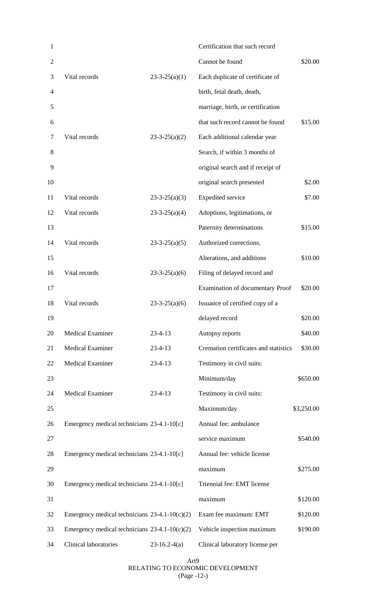| 1              |                                                 |                 | Certification that such record        |            |
|----------------|-------------------------------------------------|-----------------|---------------------------------------|------------|
| $\overline{2}$ |                                                 |                 | Cannot be found                       | \$20.00    |
| 3              | Vital records                                   | $23-3-25(a)(1)$ | Each duplicate of certificate of      |            |
| 4              |                                                 |                 | birth, fetal death, death,            |            |
| 5              |                                                 |                 | marriage, birth, or certification     |            |
| 6              |                                                 |                 | that such record cannot be found      | \$15.00    |
| 7              | Vital records                                   | $23-3-25(a)(2)$ | Each additional calendar year         |            |
| 8              |                                                 |                 | Search, if within 3 months of         |            |
| 9              |                                                 |                 | original search and if receipt of     |            |
| 10             |                                                 |                 | original search presented             | \$2.00     |
| 11             | Vital records                                   | $23-3-25(a)(3)$ | <b>Expedited service</b>              | \$7.00     |
| 12             | Vital records                                   | $23-3-25(a)(4)$ | Adoptions, legitimations, or          |            |
| 13             |                                                 |                 | Paternity determinations              | \$15.00    |
| 14             | Vital records                                   | $23-3-25(a)(5)$ | Authorized corrections,               |            |
| 15             |                                                 |                 | Alterations, and additions            | \$10.00    |
| 16             | Vital records                                   | $23-3-25(a)(6)$ | Filing of delayed record and          |            |
| 17             |                                                 |                 | Examination of documentary Proof      | \$20.00    |
| 18             | Vital records                                   | $23-3-25(a)(6)$ | Issuance of certified copy of a       |            |
| 19             |                                                 |                 | delayed record                        | \$20.00    |
| 20             | <b>Medical Examiner</b>                         | $23 - 4 - 13$   | Autopsy reports                       | \$40.00    |
| 21             | <b>Medical Examiner</b>                         | $23 - 4 - 13$   | Cremation certificates and statistics | \$30.00    |
| 22             | <b>Medical Examiner</b>                         | $23 - 4 - 13$   | Testimony in civil suits:             |            |
| 23             |                                                 |                 | Minimum/day                           | \$650.00   |
| 24             | <b>Medical Examiner</b>                         | $23 - 4 - 13$   | Testimony in civil suits:             |            |
| 25             |                                                 |                 | Maximum/day                           | \$3,250.00 |
| 26             | Emergency medical technicians 23-4.1-10[c]      |                 | Annual fee: ambulance                 |            |
| 27             |                                                 |                 | service maximum                       | \$540.00   |
| 28             | Emergency medical technicians 23-4.1-10[c]      |                 | Annual fee: vehicle license           |            |
| 29             |                                                 |                 | maximum                               | \$275.00   |
| 30             | Emergency medical technicians 23-4.1-10[c]      |                 | Triennial fee: EMT license            |            |
| 31             |                                                 |                 | maximum                               | \$120.00   |
| 32             | Emergency medical technicians $23-4.1-10(c)(2)$ |                 | Exam fee maximum: EMT                 | \$120.00   |
| 33             | Emergency medical technicians $23-4.1-10(c)(2)$ |                 | Vehicle inspection maximum            | \$190.00   |
| 34             | <b>Clinical laboratories</b>                    | $23-16.2-4(a)$  | Clinical laboratory license per       |            |

Art9 RELATING TO ECONOMIC DEVELOPMENT (Page -12-)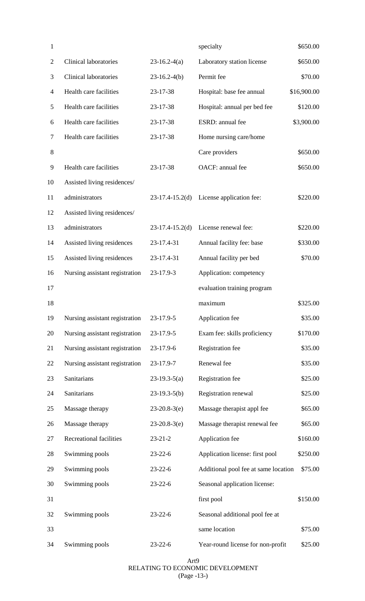| 1              |                                |                   | specialty                            | \$650.00    |
|----------------|--------------------------------|-------------------|--------------------------------------|-------------|
| $\overline{2}$ | <b>Clinical laboratories</b>   | $23-16.2-4(a)$    | Laboratory station license           | \$650.00    |
| 3              | <b>Clinical laboratories</b>   | $23-16.2-4(b)$    | Permit fee                           | \$70.00     |
| $\overline{4}$ | Health care facilities         | 23-17-38          | Hospital: base fee annual            | \$16,900.00 |
| 5              | Health care facilities         | 23-17-38          | Hospital: annual per bed fee         | \$120.00    |
| 6              | Health care facilities         | 23-17-38          | ESRD: annual fee                     | \$3,900.00  |
| $\overline{7}$ | Health care facilities         | 23-17-38          | Home nursing care/home               |             |
| 8              |                                |                   | Care providers                       | \$650.00    |
| 9              | Health care facilities         | 23-17-38          | OACF: annual fee                     | \$650.00    |
| 10             | Assisted living residences/    |                   |                                      |             |
| 11             | administrators                 | $23-17.4-15.2(d)$ | License application fee:             | \$220.00    |
| 12             | Assisted living residences/    |                   |                                      |             |
| 13             | administrators                 | $23-17.4-15.2(d)$ | License renewal fee:                 | \$220.00    |
| 14             | Assisted living residences     | 23-17.4-31        | Annual facility fee: base            | \$330.00    |
| 15             | Assisted living residences     | 23-17.4-31        | Annual facility per bed              | \$70.00     |
| 16             | Nursing assistant registration | 23-17.9-3         | Application: competency              |             |
| 17             |                                |                   | evaluation training program          |             |
| 18             |                                |                   | maximum                              | \$325.00    |
| 19             | Nursing assistant registration | 23-17.9-5         | Application fee                      | \$35.00     |
| 20             | Nursing assistant registration | 23-17.9-5         | Exam fee: skills proficiency         | \$170.00    |
| 21             | Nursing assistant registration | 23-17.9-6         | Registration fee                     | \$35.00     |
| 22             | Nursing assistant registration | 23-17.9-7         | Renewal fee                          | \$35.00     |
| 23             | Sanitarians                    | $23-19.3-5(a)$    | Registration fee                     | \$25.00     |
| 24             | Sanitarians                    | $23-19.3-5(b)$    | Registration renewal                 | \$25.00     |
| 25             | Massage therapy                | $23-20.8-3(e)$    | Massage therapist appl fee           | \$65.00     |
| 26             | Massage therapy                | $23-20.8-3(e)$    | Massage therapist renewal fee        | \$65.00     |
| 27             | Recreational facilities        | $23 - 21 - 2$     | Application fee                      | \$160.00    |
| 28             | Swimming pools                 | $23 - 22 - 6$     | Application license: first pool      | \$250.00    |
| 29             | Swimming pools                 | $23 - 22 - 6$     | Additional pool fee at same location | \$75.00     |
| 30             | Swimming pools                 | $23 - 22 - 6$     | Seasonal application license:        |             |
| 31             |                                |                   | first pool                           | \$150.00    |
| 32             | Swimming pools                 | $23 - 22 - 6$     | Seasonal additional pool fee at      |             |
| 33             |                                |                   | same location                        | \$75.00     |
| 34             | Swimming pools                 | $23 - 22 - 6$     | Year-round license for non-profit    | \$25.00     |

Art9 RELATING TO ECONOMIC DEVELOPMENT (Page -13-)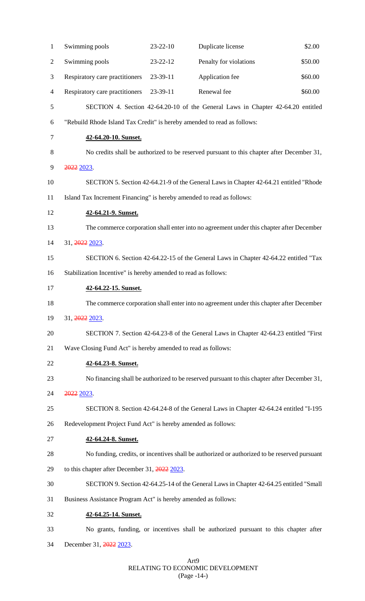| $\mathbf{1}$ | Swimming pools                                                                            | 23-22-10 | Duplicate license                                                                            | \$2.00  |  |
|--------------|-------------------------------------------------------------------------------------------|----------|----------------------------------------------------------------------------------------------|---------|--|
| 2            | Swimming pools                                                                            | 23-22-12 | Penalty for violations                                                                       | \$50.00 |  |
| 3            | Respiratory care practitioners                                                            | 23-39-11 | Application fee                                                                              | \$60.00 |  |
| 4            | Respiratory care practitioners                                                            | 23-39-11 | Renewal fee                                                                                  | \$60.00 |  |
| 5            |                                                                                           |          | SECTION 4. Section 42-64.20-10 of the General Laws in Chapter 42-64.20 entitled              |         |  |
| 6            | "Rebuild Rhode Island Tax Credit" is hereby amended to read as follows:                   |          |                                                                                              |         |  |
| 7            | 42-64.20-10. Sunset.                                                                      |          |                                                                                              |         |  |
| 8            | No credits shall be authorized to be reserved pursuant to this chapter after December 31, |          |                                                                                              |         |  |
| 9            | 2022 2023.                                                                                |          |                                                                                              |         |  |
| 10           | SECTION 5. Section 42-64.21-9 of the General Laws in Chapter 42-64.21 entitled "Rhode"    |          |                                                                                              |         |  |
| 11           | Island Tax Increment Financing" is hereby amended to read as follows:                     |          |                                                                                              |         |  |
| 12           | 42-64.21-9. Sunset.                                                                       |          |                                                                                              |         |  |
| 13           | The commerce corporation shall enter into no agreement under this chapter after December  |          |                                                                                              |         |  |
| 14           | 31, 2022 2023.                                                                            |          |                                                                                              |         |  |
| 15           | SECTION 6. Section 42-64.22-15 of the General Laws in Chapter 42-64.22 entitled "Tax      |          |                                                                                              |         |  |
| 16           | Stabilization Incentive" is hereby amended to read as follows:                            |          |                                                                                              |         |  |
| 17           | 42-64.22-15. Sunset.                                                                      |          |                                                                                              |         |  |
| 18           |                                                                                           |          | The commerce corporation shall enter into no agreement under this chapter after December     |         |  |
| 19           | 31, 2022 2023.                                                                            |          |                                                                                              |         |  |
| 20           | SECTION 7. Section 42-64.23-8 of the General Laws in Chapter 42-64.23 entitled "First     |          |                                                                                              |         |  |
| 21           | Wave Closing Fund Act" is hereby amended to read as follows:                              |          |                                                                                              |         |  |
| 22           | 42-64.23-8. Sunset.                                                                       |          |                                                                                              |         |  |
| 23           |                                                                                           |          | No financing shall be authorized to be reserved pursuant to this chapter after December 31,  |         |  |
| 24           | 2022 2023.                                                                                |          |                                                                                              |         |  |
| 25           |                                                                                           |          | SECTION 8. Section 42-64.24-8 of the General Laws in Chapter 42-64.24 entitled "I-195"       |         |  |
| 26           | Redevelopment Project Fund Act" is hereby amended as follows:                             |          |                                                                                              |         |  |
| 27           | 42-64.24-8. Sunset.                                                                       |          |                                                                                              |         |  |
| 28           |                                                                                           |          | No funding, credits, or incentives shall be authorized or authorized to be reserved pursuant |         |  |
| 29           | to this chapter after December 31, 2022 2023.                                             |          |                                                                                              |         |  |
| 30           |                                                                                           |          | SECTION 9. Section 42-64.25-14 of the General Laws in Chapter 42-64.25 entitled "Small       |         |  |
| 31           | Business Assistance Program Act" is hereby amended as follows:                            |          |                                                                                              |         |  |
| 32           | 42-64.25-14. Sunset.                                                                      |          |                                                                                              |         |  |
| 33           |                                                                                           |          | No grants, funding, or incentives shall be authorized pursuant to this chapter after         |         |  |
| 34           | December 31, 2022 2023.                                                                   |          |                                                                                              |         |  |

## Art9 RELATING TO ECONOMIC DEVELOPMENT (Page -14-)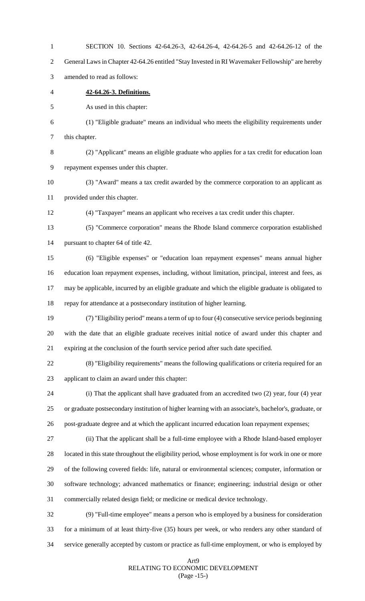| $\overline{2}$ | General Laws in Chapter 42-64.26 entitled "Stay Invested in RI Wavemaker Fellowship" are hereby        |
|----------------|--------------------------------------------------------------------------------------------------------|
| 3              | amended to read as follows:                                                                            |
| 4              | 42-64.26-3. Definitions.                                                                               |
| 5              | As used in this chapter:                                                                               |
| 6              | (1) "Eligible graduate" means an individual who meets the eligibility requirements under               |
| 7              | this chapter.                                                                                          |
| 8              | (2) "Applicant" means an eligible graduate who applies for a tax credit for education loan             |
| 9              | repayment expenses under this chapter.                                                                 |
| 10             | (3) "Award" means a tax credit awarded by the commerce corporation to an applicant as                  |
| 11             | provided under this chapter.                                                                           |
| 12             | (4) "Taxpayer" means an applicant who receives a tax credit under this chapter.                        |
| 13             | (5) "Commerce corporation" means the Rhode Island commerce corporation established                     |
| 14             | pursuant to chapter 64 of title 42.                                                                    |
| 15             | (6) "Eligible expenses" or "education loan repayment expenses" means annual higher                     |
| 16             | education loan repayment expenses, including, without limitation, principal, interest and fees, as     |
| 17             | may be applicable, incurred by an eligible graduate and which the eligible graduate is obligated to    |
| 18             | repay for attendance at a postsecondary institution of higher learning.                                |
| 19             | (7) "Eligibility period" means a term of up to four (4) consecutive service periods beginning          |
| 20             | with the date that an eligible graduate receives initial notice of award under this chapter and        |
| 21             | expiring at the conclusion of the fourth service period after such date specified.                     |
| 22             | (8) "Eligibility requirements" means the following qualifications or criteria required for an          |
| 23             | applicant to claim an award under this chapter:                                                        |
| 24             | (i) That the applicant shall have graduated from an accredited two $(2)$ year, four $(4)$ year         |
| 25             | or graduate postsecondary institution of higher learning with an associate's, bachelor's, graduate, or |
| 26             | post-graduate degree and at which the applicant incurred education loan repayment expenses;            |
| 27             | (ii) That the applicant shall be a full-time employee with a Rhode Island-based employer               |
| 28             | located in this state throughout the eligibility period, whose employment is for work in one or more   |
| 29             | of the following covered fields: life, natural or environmental sciences; computer, information or     |
| 30             | software technology; advanced mathematics or finance; engineering; industrial design or other          |
| 31             | commercially related design field; or medicine or medical device technology.                           |
| 32             | (9) "Full-time employee" means a person who is employed by a business for consideration                |
| 33             | for a minimum of at least thirty-five (35) hours per week, or who renders any other standard of        |
| 34             | service generally accepted by custom or practice as full-time employment, or who is employed by        |

SECTION 10. Sections 42-64.26-3, 42-64.26-4, 42-64.26-5 and 42-64.26-12 of the

# Art9 RELATING TO ECONOMIC DEVELOPMENT (Page -15-)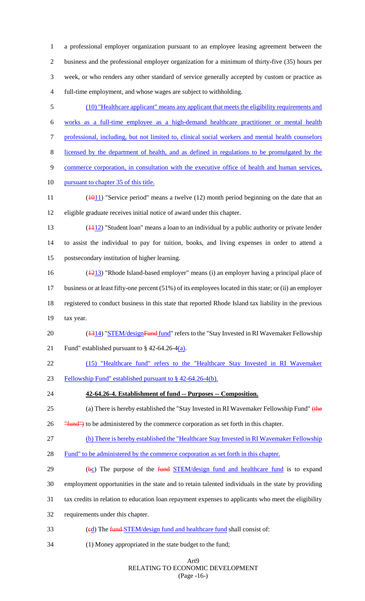a professional employer organization pursuant to an employee leasing agreement between the business and the professional employer organization for a minimum of thirty-five (35) hours per week, or who renders any other standard of service generally accepted by custom or practice as full-time employment, and whose wages are subject to withholding.

- (10) "Healthcare applicant" means any applicant that meets the eligibility requirements and works as a full-time employee as a high-demand healthcare practitioner or mental health professional, including, but not limited to, clinical social workers and mental health counselors licensed by the department of health, and as defined in regulations to be promulgated by the commerce corporation, in consultation with the executive office of health and human services, 10 pursuant to chapter 35 of this title. 11 ( $\frac{1011}{10}$  "Service period" means a twelve (12) month period beginning on the date that an eligible graduate receives initial notice of award under this chapter. 13 ( $\frac{1112}{2}$  "Student loan" means a loan to an individual by a public authority or private lender to assist the individual to pay for tuition, books, and living expenses in order to attend a postsecondary institution of higher learning.
- (1213) "Rhode Island-based employer" means (i) an employer having a principal place of business or at least fifty-one percent (51%) of its employees located in this state; or (ii) an employer registered to conduct business in this state that reported Rhode Island tax liability in the previous tax year.
- 20 (1314) "STEM/designFund fund" refers to the "Stay Invested in RI Wavemaker Fellowship 21 Fund" established pursuant to  $\frac{6}{9}$  42-64.26-4(a).
- (15) "Healthcare fund" refers to the "Healthcare Stay Invested in RI Wavemaker
- Fellowship Fund" established pursuant to § 42-64.26-4(b).
- **42-64.26-4. Establishment of fund -- Purposes -- Composition.**
- 25 (a) There is hereby established the "Stay Invested in RI Wavemaker Fellowship Fund" (the
- 26 "Fund") to be administered by the commerce corporation as set forth in this chapter.
- (b) There is hereby established the "Healthcare Stay Invested in RI Wavemaker Fellowship
- 28 Fund" to be administered by the commerce corporation as set forth in this chapter.
- 29 (bc) The purpose of the  $fund \text{STEM}/design \text{ fund}$  and healthcare fund is to expand
- employment opportunities in the state and to retain talented individuals in the state by providing
- tax credits in relation to education loan repayment expenses to applicants who meet the eligibility
- requirements under this chapter.
- 33 (ed) The fund STEM/design fund and healthcare fund shall consist of:
- (1) Money appropriated in the state budget to the fund;

#### Art9 RELATING TO ECONOMIC DEVELOPMENT (Page -16-)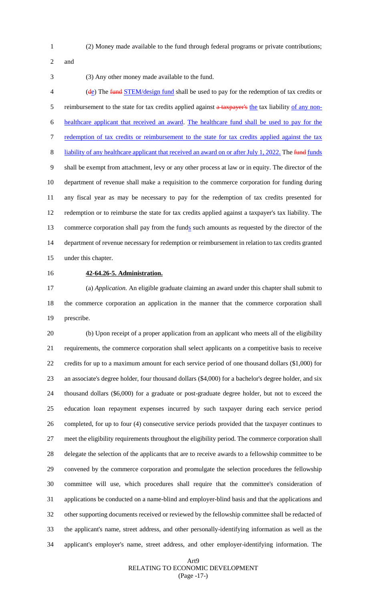(2) Money made available to the fund through federal programs or private contributions;

and

(3) Any other money made available to the fund.

4 (de) The fund STEM/design fund shall be used to pay for the redemption of tax credits or 5 reimbursement to the state for tax credits applied against a tax payer's the tax liability of any non- healthcare applicant that received an award. The healthcare fund shall be used to pay for the 7 redemption of tax credits or reimbursement to the state for tax credits applied against the tax 8 liability of any healthcare applicant that received an award on or after July 1, 2022. The funds shall be exempt from attachment, levy or any other process at law or in equity. The director of the department of revenue shall make a requisition to the commerce corporation for funding during any fiscal year as may be necessary to pay for the redemption of tax credits presented for redemption or to reimburse the state for tax credits applied against a taxpayer's tax liability. The 13 commerce corporation shall pay from the funds such amounts as requested by the director of the department of revenue necessary for redemption or reimbursement in relation to tax credits granted under this chapter.

# **42-64.26-5. Administration.**

 (a) *Application.* An eligible graduate claiming an award under this chapter shall submit to the commerce corporation an application in the manner that the commerce corporation shall prescribe.

 (b) Upon receipt of a proper application from an applicant who meets all of the eligibility requirements, the commerce corporation shall select applicants on a competitive basis to receive credits for up to a maximum amount for each service period of one thousand dollars (\$1,000) for an associate's degree holder, four thousand dollars (\$4,000) for a bachelor's degree holder, and six thousand dollars (\$6,000) for a graduate or post-graduate degree holder, but not to exceed the education loan repayment expenses incurred by such taxpayer during each service period completed, for up to four (4) consecutive service periods provided that the taxpayer continues to meet the eligibility requirements throughout the eligibility period. The commerce corporation shall delegate the selection of the applicants that are to receive awards to a fellowship committee to be convened by the commerce corporation and promulgate the selection procedures the fellowship committee will use, which procedures shall require that the committee's consideration of applications be conducted on a name-blind and employer-blind basis and that the applications and other supporting documents received or reviewed by the fellowship committee shall be redacted of the applicant's name, street address, and other personally-identifying information as well as the applicant's employer's name, street address, and other employer-identifying information. The

## Art9 RELATING TO ECONOMIC DEVELOPMENT (Page -17-)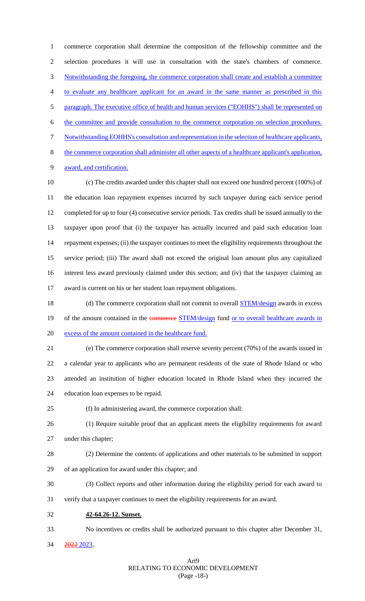commerce corporation shall determine the composition of the fellowship committee and the selection procedures it will use in consultation with the state's chambers of commerce. Notwithstanding the foregoing, the commerce corporation shall create and establish a committee to evaluate any healthcare applicant for an award in the same manner as prescribed in this paragraph. The executive office of health and human services ("EOHHS") shall be represented on the committee and provide consultation to the commerce corporation on selection procedures. Notwithstanding EOHHS's consultation and representation in the selection of healthcare applicants, the commerce corporation shall administer all other aspects of a healthcare applicant's application, award, and certification. (c) The credits awarded under this chapter shall not exceed one hundred percent (100%) of

 the education loan repayment expenses incurred by such taxpayer during each service period completed for up to four (4) consecutive service periods. Tax credits shall be issued annually to the taxpayer upon proof that (i) the taxpayer has actually incurred and paid such education loan repayment expenses; (ii) the taxpayer continues to meet the eligibility requirements throughout the service period; (iii) The award shall not exceed the original loan amount plus any capitalized interest less award previously claimed under this section; and (iv) that the taxpayer claiming an award is current on his or her student loan repayment obligations.

18 (d) The commerce corporation shall not commit to overall **STEM/design** awards in excess 19 of the amount contained in the commerce STEM/design fund or to overall healthcare awards in excess of the amount contained in the healthcare fund.

 (e) The commerce corporation shall reserve seventy percent (70%) of the awards issued in a calendar year to applicants who are permanent residents of the state of Rhode Island or who attended an institution of higher education located in Rhode Island when they incurred the education loan expenses to be repaid.

- (f) In administering award, the commerce corporation shall:
- (1) Require suitable proof that an applicant meets the eligibility requirements for award under this chapter;
- (2) Determine the contents of applications and other materials to be submitted in support of an application for award under this chapter; and
- (3) Collect reports and other information during the eligibility period for each award to
- verify that a taxpayer continues to meet the eligibility requirements for an award.
- **42-64.26-12. Sunset.**
- No incentives or credits shall be authorized pursuant to this chapter after December 31,
- 2022 2023.

# Art9 RELATING TO ECONOMIC DEVELOPMENT (Page -18-)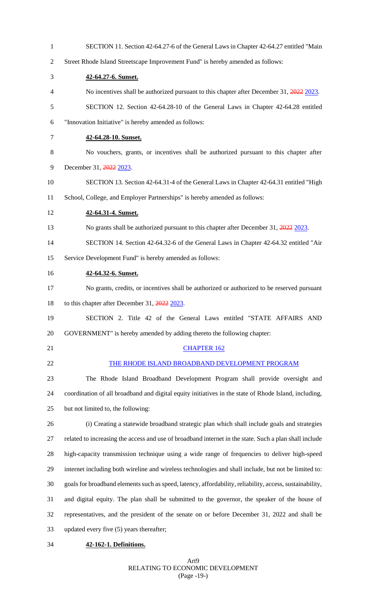| $\mathbf{1}$   | SECTION 11. Section 42-64.27-6 of the General Laws in Chapter 42-64.27 entitled "Main                    |  |  |
|----------------|----------------------------------------------------------------------------------------------------------|--|--|
| $\overline{2}$ | Street Rhode Island Streetscape Improvement Fund" is hereby amended as follows:                          |  |  |
| 3              | 42-64.27-6. Sunset.                                                                                      |  |  |
| 4              | No incentives shall be authorized pursuant to this chapter after December 31, 2022 2023.                 |  |  |
| 5              | SECTION 12. Section 42-64.28-10 of the General Laws in Chapter 42-64.28 entitled                         |  |  |
| 6              | "Innovation Initiative" is hereby amended as follows:                                                    |  |  |
| 7              | 42-64.28-10. Sunset.                                                                                     |  |  |
| 8              | No vouchers, grants, or incentives shall be authorized pursuant to this chapter after                    |  |  |
| 9              | December 31, 2022 2023.                                                                                  |  |  |
| 10             | SECTION 13. Section 42-64.31-4 of the General Laws in Chapter 42-64.31 entitled "High                    |  |  |
| 11             | School, College, and Employer Partnerships" is hereby amended as follows:                                |  |  |
| 12             | 42-64.31-4. Sunset.                                                                                      |  |  |
| 13             | No grants shall be authorized pursuant to this chapter after December 31, 2022 2023.                     |  |  |
| 14             | SECTION 14. Section 42-64.32-6 of the General Laws in Chapter 42-64.32 entitled "Air                     |  |  |
| 15             | Service Development Fund" is hereby amended as follows:                                                  |  |  |
| 16             | 42-64.32-6. Sunset.                                                                                      |  |  |
| 17             | No grants, credits, or incentives shall be authorized or authorized to be reserved pursuant              |  |  |
| 18             | to this chapter after December 31, 2022 2023.                                                            |  |  |
| 19             | SECTION 2. Title 42 of the General Laws entitled "STATE AFFAIRS AND                                      |  |  |
| 20             | GOVERNMENT" is hereby amended by adding thereto the following chapter:                                   |  |  |
| 21             | <b>CHAPTER 162</b>                                                                                       |  |  |
| 22             | THE RHODE ISLAND BROADBAND DEVELOPMENT PROGRAM                                                           |  |  |
| 23             | The Rhode Island Broadband Development Program shall provide oversight and                               |  |  |
| 24             | coordination of all broadband and digital equity initiatives in the state of Rhode Island, including,    |  |  |
| 25             | but not limited to, the following:                                                                       |  |  |
| 26             | (i) Creating a statewide broadband strategic plan which shall include goals and strategies               |  |  |
| 27             | related to increasing the access and use of broadband internet in the state. Such a plan shall include   |  |  |
| 28             | high-capacity transmission technique using a wide range of frequencies to deliver high-speed             |  |  |
| 29             | internet including both wireline and wireless technologies and shall include, but not be limited to:     |  |  |
| 30             | goals for broadband elements such as speed, latency, affordability, reliability, access, sustainability, |  |  |
| 31             | and digital equity. The plan shall be submitted to the governor, the speaker of the house of             |  |  |
| 32             | representatives, and the president of the senate on or before December 31, 2022 and shall be             |  |  |
| 33             | updated every five (5) years thereafter;                                                                 |  |  |
| 34             | 42-162-1. Definitions.                                                                                   |  |  |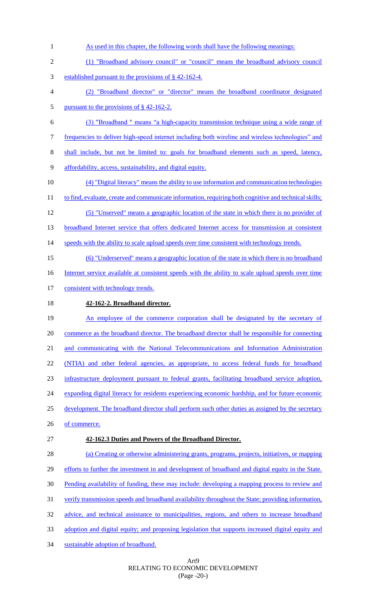As used in this chapter, the following words shall have the following meanings: (1) "Broadband advisory council" or "council" means the broadband advisory council established pursuant to the provisions of § 42-162-4. (2) "Broadband director" or "director" means the broadband coordinator designated pursuant to the provisions of § 42-162-2. (3) "Broadband " means "a high-capacity transmission technique using a wide range of frequencies to deliver high-speed internet including both wireline and wireless technologies" and shall include, but not be limited to: goals for broadband elements such as speed, latency, affordability, access, sustainability, and digital equity. (4) "Digital literacy" means the ability to use information and communication technologies 11 to find, evaluate, create and communicate information, requiring both cognitive and technical skills; (5) "Unserved" means a geographic location of the state in which there is no provider of broadband Internet service that offers dedicated Internet access for transmission at consistent 14 speeds with the ability to scale upload speeds over time consistent with technology trends. (6) "Underserved" means a geographic location of the state in which there is no broadband 16 Internet service available at consistent speeds with the ability to scale upload speeds over time 17 consistent with technology trends. **42-162-2. Broadband director.** 19 An employee of the commerce corporation shall be designated by the secretary of commerce as the broadband director. The broadband director shall be responsible for connecting and communicating with the National Telecommunications and Information Administration (NTIA) and other federal agencies, as appropriate, to access federal funds for broadband infrastructure deployment pursuant to federal grants, facilitating broadband service adoption, 24 expanding digital literacy for residents experiencing economic hardship, and for future economic 25 development. The broadband director shall perform such other duties as assigned by the secretary 26 of commerce. **42-162.3 Duties and Powers of the Broadband Director.**  (a) Creating or otherwise administering grants, programs, projects, initiatives, or mapping 29 efforts to further the investment in and development of broadband and digital equity in the State. Pending availability of funding, these may include: developing a mapping process to review and verify transmission speeds and broadband availability throughout the State; providing information, 32 advice, and technical assistance to municipalities, regions, and others to increase broadband adoption and digital equity; and proposing legislation that supports increased digital equity and sustainable adoption of broadband.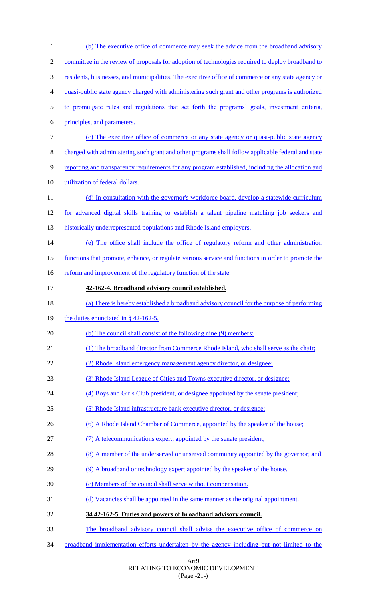| $\mathbf{1}$ | (b) The executive office of commerce may seek the advice from the broadband advisory               |  |  |
|--------------|----------------------------------------------------------------------------------------------------|--|--|
| 2            | committee in the review of proposals for adoption of technologies required to deploy broadband to  |  |  |
| 3            | residents, businesses, and municipalities. The executive office of commerce or any state agency or |  |  |
| 4            | quasi-public state agency charged with administering such grant and other programs is authorized   |  |  |
| 5            | to promulgate rules and regulations that set forth the programs' goals, investment criteria,       |  |  |
| 6            | principles, and parameters.                                                                        |  |  |
| $\tau$       | (c) The executive office of commerce or any state agency or quasi-public state agency              |  |  |
| 8            | charged with administering such grant and other programs shall follow applicable federal and state |  |  |
| 9            | reporting and transparency requirements for any program established, including the allocation and  |  |  |
| 10           | utilization of federal dollars.                                                                    |  |  |
| 11           | (d) In consultation with the governor's workforce board, develop a statewide curriculum            |  |  |
| 12           | for advanced digital skills training to establish a talent pipeline matching job seekers and       |  |  |
| 13           | historically underrepresented populations and Rhode Island employers.                              |  |  |
| 14           | (e) The office shall include the office of regulatory reform and other administration              |  |  |
| 15           | functions that promote, enhance, or regulate various service and functions in order to promote the |  |  |
| 16           | reform and improvement of the regulatory function of the state.                                    |  |  |
| 17           | 42-162-4. Broadband advisory council established.                                                  |  |  |
| 18           | (a) There is hereby established a broadband advisory council for the purpose of performing         |  |  |
| 19           | the duties enunciated in $\S$ 42-162-5.                                                            |  |  |
| 20           | (b) The council shall consist of the following nine (9) members:                                   |  |  |
| 21           | (1) The broadband director from Commerce Rhode Island, who shall serve as the chair;               |  |  |
| 22           | (2) Rhode Island emergency management agency director, or designee;                                |  |  |
| 23           | (3) Rhode Island League of Cities and Towns executive director, or designee;                       |  |  |
| 24           | (4) Boys and Girls Club president, or designee appointed by the senate president;                  |  |  |
| 25           | (5) Rhode Island infrastructure bank executive director, or designee;                              |  |  |
| 26           | (6) A Rhode Island Chamber of Commerce, appointed by the speaker of the house;                     |  |  |
| 27           | (7) A telecommunications expert, appointed by the senate president;                                |  |  |
| 28           | (8) A member of the underserved or unserved community appointed by the governor; and               |  |  |
| 29           | (9) A broadband or technology expert appointed by the speaker of the house.                        |  |  |
| 30           | (c) Members of the council shall serve without compensation.                                       |  |  |
| 31           | (d) Vacancies shall be appointed in the same manner as the original appointment.                   |  |  |
| 32           | 34 42-162-5. Duties and powers of broadband advisory council.                                      |  |  |
| 33           | The broadband advisory council shall advise the executive office of commerce on                    |  |  |
| 34           | broadband implementation efforts undertaken by the agency including but not limited to the         |  |  |

Art9 RELATING TO ECONOMIC DEVELOPMENT (Page -21-)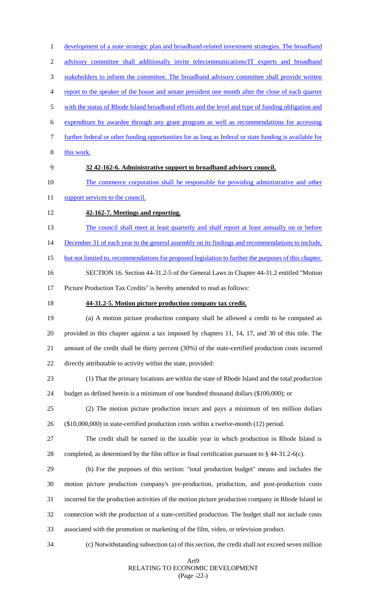Art9 1 development of a state strategic plan and broadband-related investment strategies. The broadband advisory committee shall additionally invite telecommunications/IT experts and broadband 3 stakeholders to inform the committee. The broadband advisory committee shall provide written report to the speaker of the house and senate president one month after the close of each quarter with the status of Rhode Island broadband efforts and the level and type of funding obligation and expenditure by awardee through any grant program as well as recommendations for accessing further federal or other funding opportunities for as long as federal or state funding is available for this work. **32 42-162-6. Administrative support to broadband advisory council.** The commerce corporation shall be responsible for providing administrative and other 11 support services to the council. **42-162-7. Meetings and reporting.** 13 The council shall meet at least quarterly and shall report at least annually on or before 14 December 31 of each year to the general assembly on its findings and recommendations to include, but not limited to, recommendations for proposed legislation to further the purposes of this chapter. SECTION 16. Section 44-31.2-5 of the General Laws in Chapter 44-31.2 entitled "Motion Picture Production Tax Credits" is hereby amended to read as follows: **44-31.2-5. Motion picture production company tax credit.** (a) A motion picture production company shall be allowed a credit to be computed as provided in this chapter against a tax imposed by chapters 11, 14, 17, and 30 of this title. The amount of the credit shall be thirty percent (30%) of the state-certified production costs incurred directly attributable to activity within the state, provided: (1) That the primary locations are within the state of Rhode Island and the total production budget as defined herein is a minimum of one hundred thousand dollars (\$100,000); or (2) The motion picture production incurs and pays a minimum of ten million dollars (\$10,000,000) in state-certified production costs within a twelve-month (12) period. The credit shall be earned in the taxable year in which production in Rhode Island is completed, as determined by the film office in final certification pursuant to § 44-31.2-6(c). (b) For the purposes of this section: "total production budget" means and includes the motion picture production company's pre-production, production, and post-production costs incurred for the production activities of the motion picture production company in Rhode Island in connection with the production of a state-certified production. The budget shall not include costs associated with the promotion or marketing of the film, video, or television product. (c) Notwithstanding subsection (a) of this section, the credit shall not exceed seven million

# RELATING TO ECONOMIC DEVELOPMENT (Page -22-)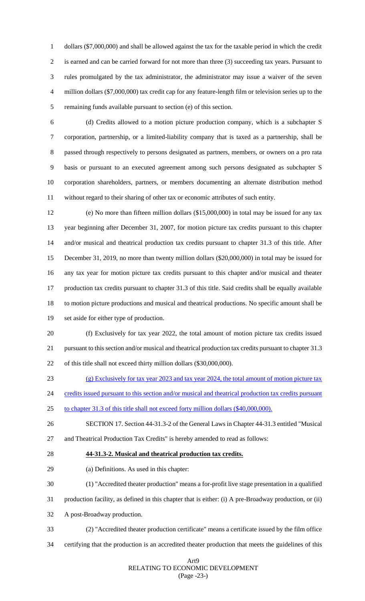dollars (\$7,000,000) and shall be allowed against the tax for the taxable period in which the credit is earned and can be carried forward for not more than three (3) succeeding tax years. Pursuant to rules promulgated by the tax administrator, the administrator may issue a waiver of the seven million dollars (\$7,000,000) tax credit cap for any feature-length film or television series up to the remaining funds available pursuant to section (e) of this section.

 (d) Credits allowed to a motion picture production company, which is a subchapter S corporation, partnership, or a limited-liability company that is taxed as a partnership, shall be passed through respectively to persons designated as partners, members, or owners on a pro rata basis or pursuant to an executed agreement among such persons designated as subchapter S corporation shareholders, partners, or members documenting an alternate distribution method without regard to their sharing of other tax or economic attributes of such entity.

 (e) No more than fifteen million dollars (\$15,000,000) in total may be issued for any tax year beginning after December 31, 2007, for motion picture tax credits pursuant to this chapter and/or musical and theatrical production tax credits pursuant to chapter 31.3 of this title. After December 31, 2019, no more than twenty million dollars (\$20,000,000) in total may be issued for any tax year for motion picture tax credits pursuant to this chapter and/or musical and theater production tax credits pursuant to chapter 31.3 of this title. Said credits shall be equally available to motion picture productions and musical and theatrical productions. No specific amount shall be set aside for either type of production.

 (f) Exclusively for tax year 2022, the total amount of motion picture tax credits issued pursuant to this section and/or musical and theatrical production tax credits pursuant to chapter 31.3 of this title shall not exceed thirty million dollars (\$30,000,000).

- (g) Exclusively for tax year 2023 and tax year 2024, the total amount of motion picture tax
- 24 credits issued pursuant to this section and/or musical and theatrical production tax credits pursuant
- to chapter 31.3 of this title shall not exceed forty million dollars (\$40,000,000).
- SECTION 17. Section 44-31.3-2 of the General Laws in Chapter 44-31.3 entitled "Musical and Theatrical Production Tax Credits" is hereby amended to read as follows:
- 
- **44-31.3-2. Musical and theatrical production tax credits.**
- (a) Definitions. As used in this chapter:
- (1) "Accredited theater production" means a for-profit live stage presentation in a qualified
- production facility, as defined in this chapter that is either: (i) A pre-Broadway production, or (ii)
- A post-Broadway production.
- (2) "Accredited theater production certificate" means a certificate issued by the film office
- certifying that the production is an accredited theater production that meets the guidelines of this

#### Art9 RELATING TO ECONOMIC DEVELOPMENT (Page -23-)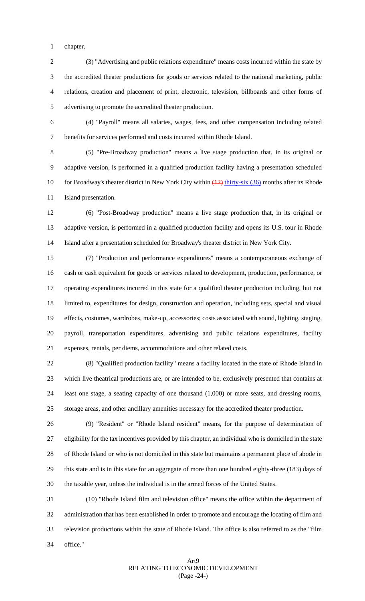chapter.

 (3) "Advertising and public relations expenditure" means costs incurred within the state by the accredited theater productions for goods or services related to the national marketing, public relations, creation and placement of print, electronic, television, billboards and other forms of advertising to promote the accredited theater production.

 (4) "Payroll" means all salaries, wages, fees, and other compensation including related benefits for services performed and costs incurred within Rhode Island.

 (5) "Pre-Broadway production" means a live stage production that, in its original or adaptive version, is performed in a qualified production facility having a presentation scheduled 10 for Broadway's theater district in New York City within  $(12)$  thirty-six (36) months after its Rhode Island presentation.

 (6) "Post-Broadway production" means a live stage production that, in its original or adaptive version, is performed in a qualified production facility and opens its U.S. tour in Rhode Island after a presentation scheduled for Broadway's theater district in New York City.

 (7) "Production and performance expenditures" means a contemporaneous exchange of cash or cash equivalent for goods or services related to development, production, performance, or operating expenditures incurred in this state for a qualified theater production including, but not limited to, expenditures for design, construction and operation, including sets, special and visual effects, costumes, wardrobes, make-up, accessories; costs associated with sound, lighting, staging, payroll, transportation expenditures, advertising and public relations expenditures, facility expenses, rentals, per diems, accommodations and other related costs.

 (8) "Qualified production facility" means a facility located in the state of Rhode Island in which live theatrical productions are, or are intended to be, exclusively presented that contains at least one stage, a seating capacity of one thousand (1,000) or more seats, and dressing rooms, storage areas, and other ancillary amenities necessary for the accredited theater production.

 (9) "Resident" or "Rhode Island resident" means, for the purpose of determination of eligibility for the tax incentives provided by this chapter, an individual who is domiciled in the state of Rhode Island or who is not domiciled in this state but maintains a permanent place of abode in this state and is in this state for an aggregate of more than one hundred eighty-three (183) days of the taxable year, unless the individual is in the armed forces of the United States.

 (10) "Rhode Island film and television office" means the office within the department of administration that has been established in order to promote and encourage the locating of film and television productions within the state of Rhode Island. The office is also referred to as the "film office."

# Art9 RELATING TO ECONOMIC DEVELOPMENT (Page -24-)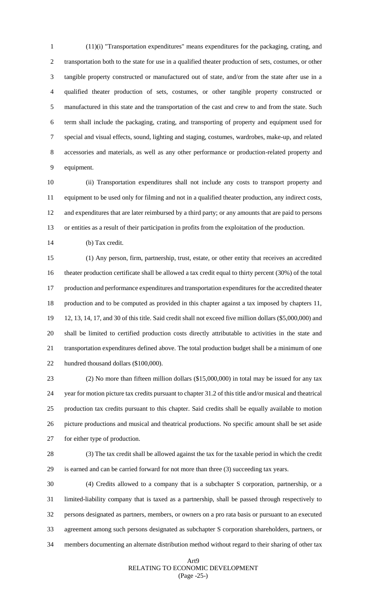(11)(i) "Transportation expenditures" means expenditures for the packaging, crating, and transportation both to the state for use in a qualified theater production of sets, costumes, or other tangible property constructed or manufactured out of state, and/or from the state after use in a qualified theater production of sets, costumes, or other tangible property constructed or manufactured in this state and the transportation of the cast and crew to and from the state. Such term shall include the packaging, crating, and transporting of property and equipment used for special and visual effects, sound, lighting and staging, costumes, wardrobes, make-up, and related accessories and materials, as well as any other performance or production-related property and equipment.

 (ii) Transportation expenditures shall not include any costs to transport property and equipment to be used only for filming and not in a qualified theater production, any indirect costs, and expenditures that are later reimbursed by a third party; or any amounts that are paid to persons or entities as a result of their participation in profits from the exploitation of the production.

(b) Tax credit.

 (1) Any person, firm, partnership, trust, estate, or other entity that receives an accredited theater production certificate shall be allowed a tax credit equal to thirty percent (30%) of the total production and performance expenditures and transportation expenditures for the accredited theater production and to be computed as provided in this chapter against a tax imposed by chapters 11, 12, 13, 14, 17, and 30 of this title. Said credit shall not exceed five million dollars (\$5,000,000) and shall be limited to certified production costs directly attributable to activities in the state and transportation expenditures defined above. The total production budget shall be a minimum of one hundred thousand dollars (\$100,000).

 (2) No more than fifteen million dollars (\$15,000,000) in total may be issued for any tax year for motion picture tax credits pursuant to chapter 31.2 of this title and/or musical and theatrical production tax credits pursuant to this chapter. Said credits shall be equally available to motion picture productions and musical and theatrical productions. No specific amount shall be set aside for either type of production.

 (3) The tax credit shall be allowed against the tax for the taxable period in which the credit is earned and can be carried forward for not more than three (3) succeeding tax years.

 (4) Credits allowed to a company that is a subchapter S corporation, partnership, or a limited-liability company that is taxed as a partnership, shall be passed through respectively to persons designated as partners, members, or owners on a pro rata basis or pursuant to an executed agreement among such persons designated as subchapter S corporation shareholders, partners, or members documenting an alternate distribution method without regard to their sharing of other tax

## Art9 RELATING TO ECONOMIC DEVELOPMENT (Page -25-)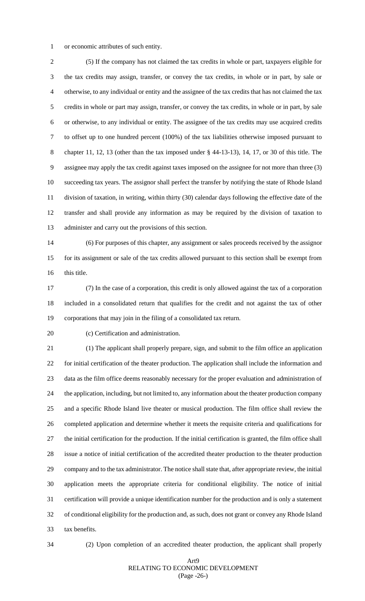or economic attributes of such entity.

 (5) If the company has not claimed the tax credits in whole or part, taxpayers eligible for the tax credits may assign, transfer, or convey the tax credits, in whole or in part, by sale or otherwise, to any individual or entity and the assignee of the tax credits that has not claimed the tax credits in whole or part may assign, transfer, or convey the tax credits, in whole or in part, by sale or otherwise, to any individual or entity. The assignee of the tax credits may use acquired credits to offset up to one hundred percent (100%) of the tax liabilities otherwise imposed pursuant to chapter 11, 12, 13 (other than the tax imposed under § 44-13-13), 14, 17, or 30 of this title. The assignee may apply the tax credit against taxes imposed on the assignee for not more than three (3) succeeding tax years. The assignor shall perfect the transfer by notifying the state of Rhode Island division of taxation, in writing, within thirty (30) calendar days following the effective date of the transfer and shall provide any information as may be required by the division of taxation to administer and carry out the provisions of this section.

 (6) For purposes of this chapter, any assignment or sales proceeds received by the assignor for its assignment or sale of the tax credits allowed pursuant to this section shall be exempt from this title.

 (7) In the case of a corporation, this credit is only allowed against the tax of a corporation included in a consolidated return that qualifies for the credit and not against the tax of other corporations that may join in the filing of a consolidated tax return.

(c) Certification and administration.

 (1) The applicant shall properly prepare, sign, and submit to the film office an application for initial certification of the theater production. The application shall include the information and data as the film office deems reasonably necessary for the proper evaluation and administration of the application, including, but not limited to, any information about the theater production company and a specific Rhode Island live theater or musical production. The film office shall review the completed application and determine whether it meets the requisite criteria and qualifications for the initial certification for the production. If the initial certification is granted, the film office shall issue a notice of initial certification of the accredited theater production to the theater production company and to the tax administrator. The notice shall state that, after appropriate review, the initial application meets the appropriate criteria for conditional eligibility. The notice of initial certification will provide a unique identification number for the production and is only a statement of conditional eligibility for the production and, as such, does not grant or convey any Rhode Island tax benefits.

(2) Upon completion of an accredited theater production, the applicant shall properly

#### Art9 RELATING TO ECONOMIC DEVELOPMENT (Page -26-)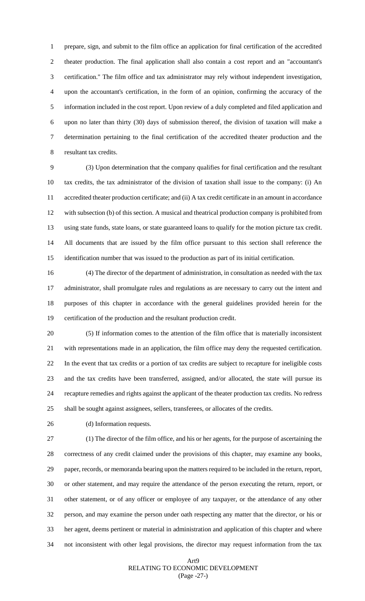prepare, sign, and submit to the film office an application for final certification of the accredited theater production. The final application shall also contain a cost report and an "accountant's certification." The film office and tax administrator may rely without independent investigation, upon the accountant's certification, in the form of an opinion, confirming the accuracy of the information included in the cost report. Upon review of a duly completed and filed application and upon no later than thirty (30) days of submission thereof, the division of taxation will make a determination pertaining to the final certification of the accredited theater production and the resultant tax credits.

 (3) Upon determination that the company qualifies for final certification and the resultant tax credits, the tax administrator of the division of taxation shall issue to the company: (i) An accredited theater production certificate; and (ii) A tax credit certificate in an amount in accordance with subsection (b) of this section. A musical and theatrical production company is prohibited from using state funds, state loans, or state guaranteed loans to qualify for the motion picture tax credit. All documents that are issued by the film office pursuant to this section shall reference the identification number that was issued to the production as part of its initial certification.

 (4) The director of the department of administration, in consultation as needed with the tax administrator, shall promulgate rules and regulations as are necessary to carry out the intent and purposes of this chapter in accordance with the general guidelines provided herein for the certification of the production and the resultant production credit.

 (5) If information comes to the attention of the film office that is materially inconsistent with representations made in an application, the film office may deny the requested certification. In the event that tax credits or a portion of tax credits are subject to recapture for ineligible costs and the tax credits have been transferred, assigned, and/or allocated, the state will pursue its recapture remedies and rights against the applicant of the theater production tax credits. No redress shall be sought against assignees, sellers, transferees, or allocates of the credits.

(d) Information requests.

 (1) The director of the film office, and his or her agents, for the purpose of ascertaining the correctness of any credit claimed under the provisions of this chapter, may examine any books, paper, records, or memoranda bearing upon the matters required to be included in the return, report, or other statement, and may require the attendance of the person executing the return, report, or other statement, or of any officer or employee of any taxpayer, or the attendance of any other person, and may examine the person under oath respecting any matter that the director, or his or her agent, deems pertinent or material in administration and application of this chapter and where not inconsistent with other legal provisions, the director may request information from the tax

## Art9 RELATING TO ECONOMIC DEVELOPMENT (Page -27-)